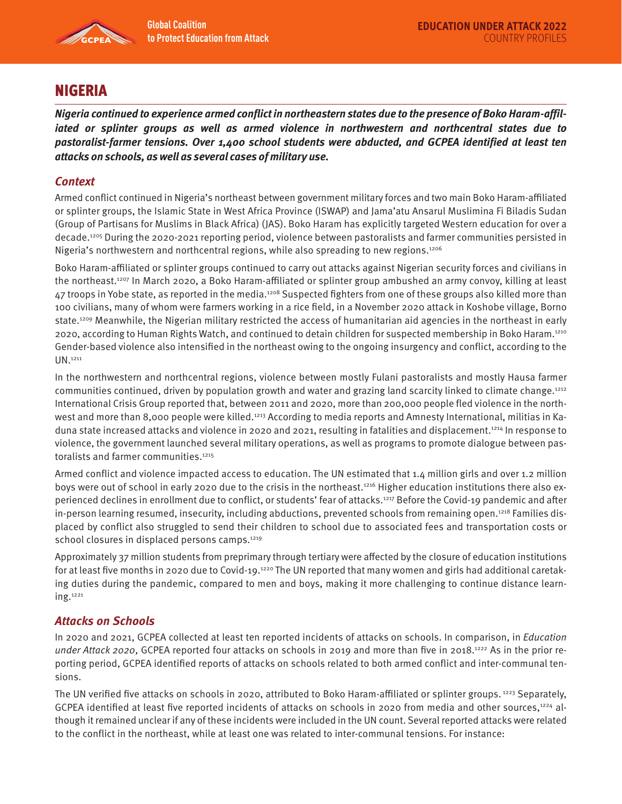

# NIGERIA

**Nigeria continued to experience armed conflict in northeastern states due to the presence of Boko Haram-affiliated or splinter groups as well as armed violence in northwestern and northcentral states due to pastoralist-farmer tensions. Over 1,400 school students were abducted, and GCPEA identified at least ten attacks on schools, as well as several cases of military use.** 

## **Context**

Armed conflict continued in Nigeria's northeast between government military forces and two main Boko Haram-affiliated or splinter groups, the Islamic State in West Africa Province (ISWAP) and Jama'atu Ansarul Muslimina Fi Biladis Sudan (Group of Partisans for Muslims in Black Africa) (JAS). Boko Haram has explicitly targeted Western education for over a decade.1205 During the 2020-2021 reporting period, violence between pastoralists and farmer communities persisted in Nigeria's northwestern and northcentral regions, while also spreading to new regions.<sup>1206</sup>

Boko Haram-affiliated or splinter groups continued to carry out attacks against Nigerian security forces and civilians in the northeast.1207 In March 2020, a Boko Haram-affiliated or splinter group ambushed an army convoy, killing at least 47 troops in Yobe state, as reported in the media.<sup>1208</sup> Suspected fighters from one of these groups also killed more than 100 civilians, many of whom were farmers working in a rice field, in a November 2020 attack in Koshobe village, Borno state.1209 Meanwhile, the Nigerian military restricted the access of humanitarian aid agencies in the northeast in early 2020, according to Human Rights Watch, and continued to detain children for suspected membership in Boko Haram.1210 Gender-based violence also intensified in the northeast owing to the ongoing insurgency and conflict, according to the UN.1211

In the northwestern and northcentral regions, violence between mostly Fulani pastoralists and mostly Hausa farmer communities continued, driven by population growth and water and grazing land scarcity linked to climate change.1212 International Crisis Group reported that, between 2011 and 2020, more than 200,000 people fled violence in the northwest and more than 8,000 people were killed.<sup>1213</sup> According to media reports and Amnesty International, militias in Kaduna state increased attacks and violence in 2020 and 2021, resulting in fatalities and displacement.<sup>1214</sup> In response to violence, the government launched several military operations, as well as programs to promote dialogue between pastoralists and farmer communities.<sup>1215</sup>

Armed conflict and violence impacted access to education. The UN estimated that 1.4 million girls and over 1.2 million boys were out of school in early 2020 due to the crisis in the northeast.<sup>1216</sup> Higher education institutions there also experienced declines in enrollment due to conflict, or students' fear of attacks.1217 Before the Covid-19 pandemic and after in-person learning resumed, insecurity, including abductions, prevented schools from remaining open.<sup>1218</sup> Families displaced by conflict also struggled to send their children to school due to associated fees and transportation costs or school closures in displaced persons camps.<sup>1219</sup>

Approximately 37 million students from preprimary through tertiary were affected by the closure of education institutions for at least five months in 2020 due to Covid-19.<sup>1220</sup> The UN reported that many women and girls had additional caretaking duties during the pandemic, compared to men and boys, making it more challenging to continue distance learning.1221

## **Attacks on Schools**

In 2020 and 2021, GCPEA collected at least ten reported incidents of attacks on schools. In comparison, in Education under Attack 2020, GCPEA reported four attacks on schools in 2019 and more than five in 2018.<sup>1222</sup> As in the prior reporting period, GCPEA identified reports of attacks on schools related to both armed conflict and inter-communal tensions.

The UN verified five attacks on schools in 2020, attributed to Boko Haram-affiliated or splinter groups. 1223 Separately, GCPEA identified at least five reported incidents of attacks on schools in 2020 from media and other sources,<sup>1224</sup> although it remained unclear if any of these incidents were included in the UN count. Several reported attacks were related to the conflict in the northeast, while at least one was related to inter-communal tensions. For instance: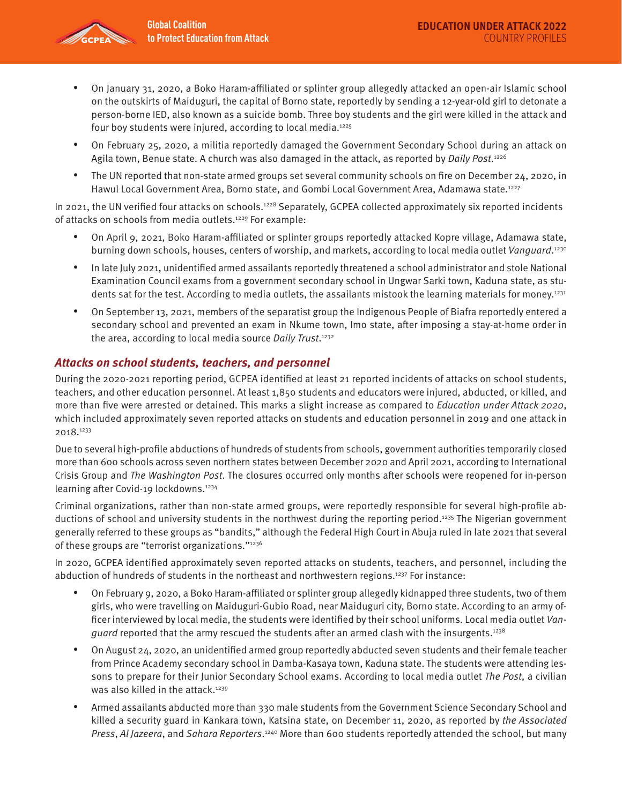- On January 31, 2020, a Boko Haram-affiliated or splinter group allegedly attacked an open-air Islamic school on the outskirts of Maiduguri, the capital of Borno state, reportedly by sending a 12-year-old girl to detonate a person-borne IED, also known as a suicide bomb. Three boy students and the girl were killed in the attack and four boy students were injured, according to local media.<sup>1225</sup>
- On February 25, 2020, a militia reportedly damaged the Government Secondary School during an attack on Agila town, Benue state. A church was also damaged in the attack, as reported by *Daily Post*.<sup>1226</sup>
- The UN reported that non-state armed groups set several community schools on fire on December 24, 2020, in Hawul Local Government Area, Borno state, and Gombi Local Government Area, Adamawa state.<sup>1227</sup>

In 2021, the UN verified four attacks on schools.<sup>1228</sup> Separately, GCPEA collected approximately six reported incidents of attacks on schools from media outlets.1229 For example:

- On April 9, 2021, Boko Haram-affiliated or splinter groups reportedly attacked Kopre village, Adamawa state, burning down schools, houses, centers of worship, and markets, according to local media outlet Vanguard.<sup>1230</sup>
- In late July 2021, unidentified armed assailants reportedly threatened a school administrator and stole National Examination Council exams from a government secondary school in Ungwar Sarki town, Kaduna state, as students sat for the test. According to media outlets, the assailants mistook the learning materials for money.1231
- On September 13, 2021, members of the separatist group the Indigenous People of Biafra reportedly entered a secondary school and prevented an exam in Nkume town, Imo state, after imposing a stay-at-home order in the area, according to local media source Daily Trust.<sup>1232</sup>

## **Attacks on school students, teachers, and personnel**

During the 2020-2021 reporting period, GCPEA identified at least 21 reported incidents of attacks on school students, teachers, and other education personnel. At least 1,850 students and educators were injured, abducted, or killed, and more than five were arrested or detained. This marks a slight increase as compared to Education under Attack 2020, which included approximately seven reported attacks on students and education personnel in 2019 and one attack in 2018.1233

Due to several high-profile abductions of hundreds of students from schools, government authorities temporarily closed more than 600 schools across seven northern states between December 2020 and April 2021, according to International Crisis Group and The Washington Post. The closures occurred only months after schools were reopened for in-person learning after Covid-19 lockdowns.<sup>1234</sup>

Criminal organizations, rather than non-state armed groups, were reportedly responsible for several high-profile abductions of school and university students in the northwest during the reporting period.<sup>1235</sup> The Nigerian government generally referred to these groups as "bandits," although the Federal High Court in Abuja ruled in late 2021 that several of these groups are "terrorist organizations."1236

In 2020, GCPEA identified approximately seven reported attacks on students, teachers, and personnel, including the abduction of hundreds of students in the northeast and northwestern regions.1237 For instance:

- On February 9, 2020, a Boko Haram-affiliated or splinter group allegedly kidnapped three students, two of them girls, who were travelling on Maiduguri-Gubio Road, near Maiduguri city, Borno state. According to an army officer interviewed by local media, the students were identified by their school uniforms. Local media outlet Van*guard* reported that the army rescued the students after an armed clash with the insurgents.<sup>1238</sup>
- On August 24, 2020, an unidentified armed group reportedly abducted seven students and their female teacher from Prince Academy secondary school in Damba-Kasaya town, Kaduna state. The students were attending lessons to prepare for their Junior Secondary School exams. According to local media outlet The Post, a civilian was also killed in the attack.<sup>1239</sup>
- Armed assailants abducted more than 330 male students from the Government Science Secondary School and killed a security guard in Kankara town, Katsina state, on December 11, 2020, as reported by the Associated Press, Al Jazeera, and Sahara Reporters.<sup>1240</sup> More than 600 students reportedly attended the school, but many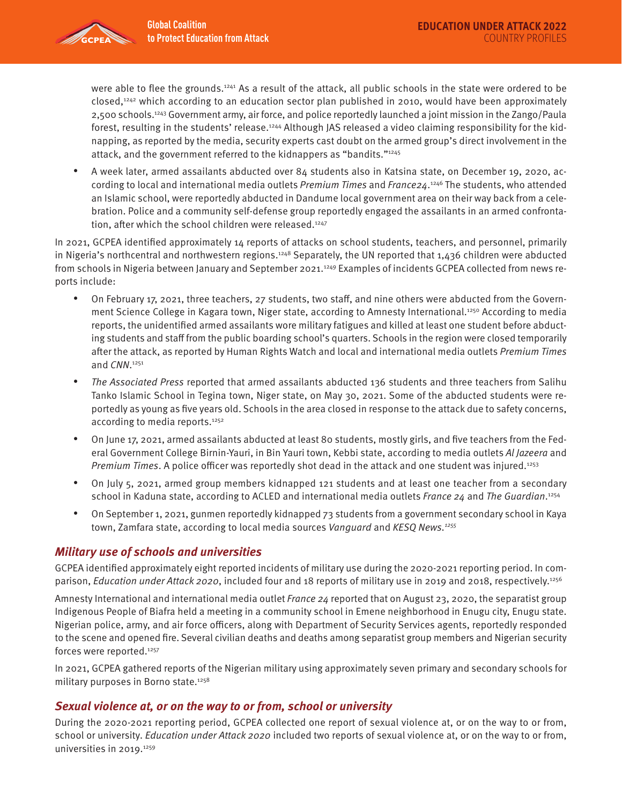

were able to flee the grounds.1241 As a result of the attack, all public schools in the state were ordered to be closed,1242 which according to an education sector plan published in 2010, would have been approximately 2,500 schools.1243 Government army, air force, and police reportedly launched a joint mission in the Zango/Paula forest, resulting in the students' release.<sup>1244</sup> Although JAS released a video claiming responsibility for the kidnapping, as reported by the media, security experts cast doubt on the armed group's direct involvement in the attack, and the government referred to the kidnappers as "bandits."1245

• A week later, armed assailants abducted over 84 students also in Katsina state, on December 19, 2020, according to local and international media outlets Premium Times and France24.<sup>1246</sup> The students, who attended an Islamic school, were reportedly abducted in Dandume local government area on their way back from a celebration. Police and a community self-defense group reportedly engaged the assailants in an armed confrontation, after which the school children were released.<sup>1247</sup>

In 2021, GCPEA identified approximately 14 reports of attacks on school students, teachers, and personnel, primarily in Nigeria's northcentral and northwestern regions.<sup>1248</sup> Separately, the UN reported that 1,436 children were abducted from schools in Nigeria between January and September 2021.<sup>1249</sup> Examples of incidents GCPEA collected from news reports include:

- On February 17, 2021, three teachers, 27 students, two staff, and nine others were abducted from the Government Science College in Kagara town, Niger state, according to Amnesty International.<sup>1250</sup> According to media reports, the unidentified armed assailants wore military fatigues and killed at least one student before abducting students and staff from the public boarding school's quarters. Schools in the region were closed temporarily after the attack, as reported by Human Rights Watch and local and international media outlets Premium Times and CNN. 1251
- The Associated Press reported that armed assailants abducted 136 students and three teachers from Salihu Tanko Islamic School in Tegina town, Niger state, on May 30, 2021. Some of the abducted students were reportedly as young as five years old. Schools in the area closed in response to the attack due to safety concerns, according to media reports.<sup>1252</sup>
- On June 17, 2021, armed assailants abducted at least 80 students, mostly girls, and five teachers from the Federal Government College Birnin-Yauri, in Bin Yauri town, Kebbi state, according to media outlets Al Jazeera and Premium Times. A police officer was reportedly shot dead in the attack and one student was injured.<sup>1253</sup>
- On July 5, 2021, armed group members kidnapped 121 students and at least one teacher from a secondary school in Kaduna state, according to ACLED and international media outlets France 24 and The Guardian.<sup>1254</sup>
- On September 1, 2021, gunmen reportedly kidnapped 73 students from a government secondary school in Kaya town, Zamfara state, according to local media sources Vanquard and KESQ News.<sup>1255</sup>

## **Military use of schools and universities**

GCPEA identified approximately eight reported incidents of military use during the 2020-2021 reporting period. In comparison, Education under Attack 2020, included four and 18 reports of military use in 2019 and 2018, respectively.<sup>1256</sup>

Amnesty International and international media outlet France 24 reported that on August 23, 2020, the separatist group Indigenous People of Biafra held a meeting in a community school in Emene neighborhood in Enugu city, Enugu state. Nigerian police, army, and air force officers, along with Department of Security Services agents, reportedly responded to the scene and opened fire. Several civilian deaths and deaths among separatist group members and Nigerian security forces were reported.<sup>1257</sup>

In 2021, GCPEA gathered reports of the Nigerian military using approximately seven primary and secondary schools for military purposes in Borno state.<sup>1258</sup>

## **Sexual violence at, or on the way to or from, school or university**

During the 2020-2021 reporting period, GCPEA collected one report of sexual violence at, or on the way to or from, school or university. Education under Attack 2020 included two reports of sexual violence at, or on the way to or from, universities in 2019.<sup>1259</sup>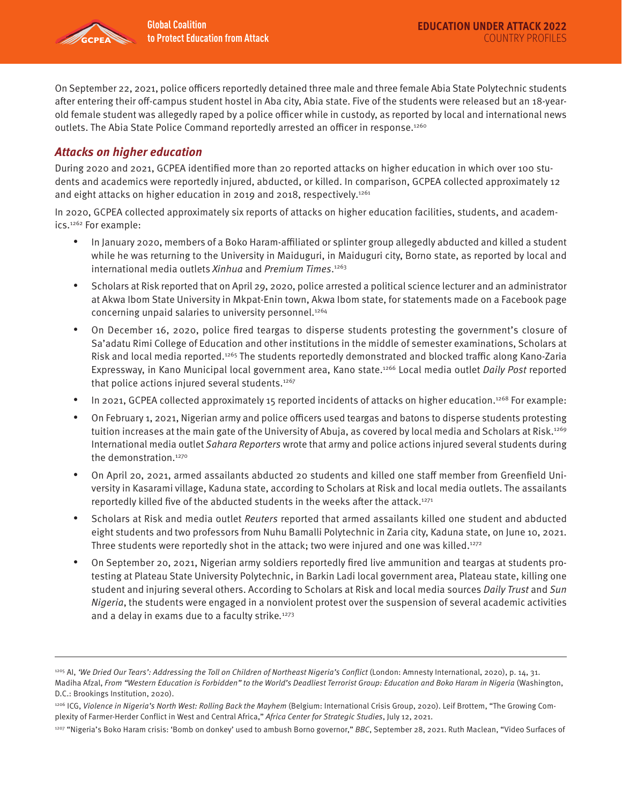

On September 22, 2021, police officers reportedly detained three male and three female Abia State Polytechnic students after entering their off-campus student hostel in Aba city, Abia state. Five of the students were released but an 18-yearold female student was allegedly raped by a police officer while in custody, as reported by local and international news outlets. The Abia State Police Command reportedly arrested an officer in response.<sup>1260</sup>

#### **Attacks on higher education**

During 2020 and 2021, GCPEA identified more than 20 reported attacks on higher education in which over 100 students and academics were reportedly injured, abducted, or killed. In comparison, GCPEA collected approximately 12 and eight attacks on higher education in 2019 and 2018, respectively.<sup>1261</sup>

In 2020, GCPEA collected approximately six reports of attacks on higher education facilities, students, and academics.1262 For example:

- In January 2020, members of a Boko Haram-affiliated or splinter group allegedly abducted and killed a student while he was returning to the University in Maiduguri, in Maiduguri city, Borno state, as reported by local and international media outlets Xinhua and Premium Times.<sup>1263</sup>
- Scholars at Risk reported that on April 29, 2020, police arrested a political science lecturer and an administrator at Akwa Ibom State University in Mkpat-Enin town, Akwa Ibom state, for statements made on a Facebook page concerning unpaid salaries to university personnel.<sup>1264</sup>
- On December 16, 2020, police fired teargas to disperse students protesting the government's closure of Sa'adatu Rimi College of Education and other institutions in the middle of semester examinations, Scholars at Risk and local media reported.<sup>1265</sup> The students reportedly demonstrated and blocked traffic along Kano-Zaria Expressway, in Kano Municipal local government area, Kano state.<sup>1266</sup> Local media outlet Daily Post reported that police actions injured several students.1267
- In 2021, GCPEA collected approximately 15 reported incidents of attacks on higher education.<sup>1268</sup> For example:
- On February 1, 2021, Nigerian army and police officers used teargas and batons to disperse students protesting tuition increases at the main gate of the University of Abuja, as covered by local media and Scholars at Risk.<sup>1269</sup> International media outlet Sahara Reporters wrote that army and police actions injured several students during the demonstration.<sup>1270</sup>
- On April 20, 2021, armed assailants abducted 20 students and killed one staff member from Greenfield University in Kasarami village, Kaduna state, according to Scholars at Risk and local media outlets. The assailants reportedly killed five of the abducted students in the weeks after the attack.<sup>1271</sup>
- Scholars at Risk and media outlet Reuters reported that armed assailants killed one student and abducted eight students and two professors from Nuhu Bamalli Polytechnic in Zaria city, Kaduna state, on June 10, 2021. Three students were reportedly shot in the attack; two were injured and one was killed. $1272$
- On September 20, 2021, Nigerian army soldiers reportedly fired live ammunition and teargas at students protesting at Plateau State University Polytechnic, in Barkin Ladi local government area, Plateau state, killing one student and injuring several others. According to Scholars at Risk and local media sources Daily Trust and Sun Nigeria, the students were engaged in a nonviolent protest over the suspension of several academic activities and a delay in exams due to a faculty strike.<sup>1273</sup>

<sup>&</sup>lt;sup>1205</sup> AI, 'We Dried Our Tears': Addressing the Toll on Children of Northeast Nigeria's Conflict (London: Amnesty International, 2020), p. 14, 31.

Madiha Afzal, From "Western Education is Forbidden" to the World's Deadliest Terrorist Group: Education and Boko Haram in Nigeria (Washington, D.C.: Brookings Institution, 2020).

<sup>1206</sup> ICG, Violence in Nigeria's North West: Rolling Back the Mayhem (Belgium: International Crisis Group, 2020). Leif Brottem, "The Growing Complexity of Farmer-Herder Conflict in West and Central Africa," Africa Center for Strategic Studies, July 12, 2021.

<sup>&</sup>lt;sup>1207</sup> "Nigeria's Boko Haram crisis: 'Bomb on donkey' used to ambush Borno governor," BBC, September 28, 2021. Ruth Maclean, "Video Surfaces of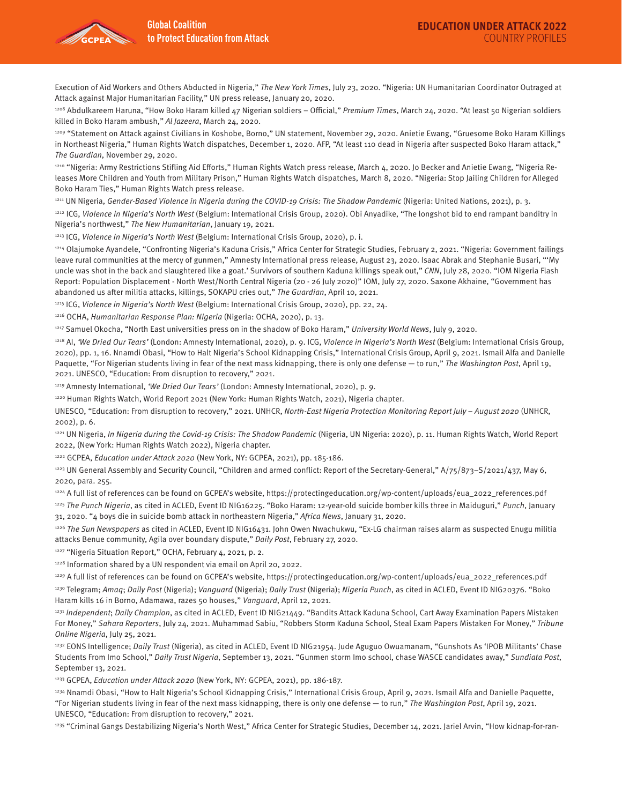Execution of Aid Workers and Others Abducted in Nigeria," The New York Times, July 23, 2020. "Nigeria: UN Humanitarian Coordinator Outraged at Attack against Major Humanitarian Facility," UN press release, January 20, 2020.

1208 Abdulkareem Haruna, "How Boko Haram killed 47 Nigerian soldiers - Official," Premium Times, March 24, 2020. "At least 50 Nigerian soldiers killed in Boko Haram ambush," Al Jazeera, March 24, 2020.

1209 "Statement on Attack against Civilians in Koshobe, Borno," UN statement, November 29, 2020. Anietie Ewang, "Gruesome Boko Haram Killings in Northeast Nigeria," Human Rights Watch dispatches, December 1, 2020. AFP, "At least 110 dead in Nigeria after suspected Boko Haram attack," The Guardian, November 29, 2020.

1210 "Nigeria: Army Restrictions Stifling Aid Efforts," Human Rights Watch press release, March 4, 2020. Jo Becker and Anietie Ewang, "Nigeria Releases More Children and Youth from Military Prison," Human Rights Watch dispatches, March 8, 2020. "Nigeria: Stop Jailing Children for Alleged Boko Haram Ties," Human Rights Watch press release.

1211 UN Nigeria, Gender-Based Violence in Nigeria during the COVID-19 Crisis: The Shadow Pandemic (Nigeria: United Nations, 2021), p. 3.

1212 ICG, Violence in Nigeria's North West (Belgium: International Crisis Group, 2020). Obi Anyadike, "The longshot bid to end rampant banditry in Nigeria's northwest," The New Humanitarian, January 19, 2021.

<sup>1213</sup> ICG, Violence in Nigeria's North West (Belgium: International Crisis Group, 2020), p. i.

1214 Olajumoke Ayandele, "Confronting Nigeria's Kaduna Crisis," Africa Center for Strategic Studies, February 2, 2021. "Nigeria: Government failings leave rural communities at the mercy of gunmen," Amnesty International press release, August 23, 2020. Isaac Abrak and Stephanie Busari, "'My uncle was shot in the back and slaughtered like a goat.' Survivors of southern Kaduna killings speak out," CNN, July 28, 2020. "IOM Nigeria Flash Report: Population Displacement - North West/North Central Nigeria (20 - 26 July 2020)" IOM, July 27, 2020. Saxone Akhaine, "Government has abandoned us after militia attacks, killings, SOKAPU cries out," The Guardian, April 10, 2021.

1215 ICG, Violence in Nigeria's North West (Belgium: International Crisis Group, 2020), pp. 22, 24.

1216 OCHA, Humanitarian Response Plan: Nigeria (Nigeria: OCHA, 2020), p. 13.

<sup>1217</sup> Samuel Okocha, "North East universities press on in the shadow of Boko Haram," University World News, July 9, 2020.

<sup>1218</sup> AI, 'We Dried Our Tears' (London: Amnesty International, 2020), p. 9. ICG, Violence in Nigeria's North West (Belgium: International Crisis Group, 2020), pp. 1, 16. Nnamdi Obasi, "How to Halt Nigeria's School Kidnapping Crisis," International Crisis Group, April 9, 2021. Ismail Alfa and Danielle Paquette, "For Nigerian students living in fear of the next mass kidnapping, there is only one defense - to run," The Washington Post, April 19, 2021. UNESCO, "Education: From disruption to recovery," 2021.

1219 Amnesty International, 'We Dried Our Tears' (London: Amnesty International, 2020), p. 9.

1220 Human Rights Watch, World Report 2021 (New York: Human Rights Watch, 2021), Nigeria chapter.

UNESCO, "Education: From disruption to recovery," 2021. UNHCR, North-East Nigeria Protection Monitoring Report July – August 2020 (UNHCR, 2002), p. 6.

<sup>1221</sup> UN Nigeria, In Nigeria during the Covid-19 Crisis: The Shadow Pandemic (Nigeria, UN Nigeria: 2020), p. 11. Human Rights Watch, World Report 2022, (New York: Human Rights Watch 2022), Nigeria chapter.

1222 GCPEA, Education under Attack 2020 (New York, NY: GCPEA, 2021), pp. 185-186.

<sup>1223</sup> UN General Assembly and Security Council, "Children and armed conflict: Report of the Secretary-General," A/75/873-S/2021/437, May 6, 2020, para. 255.

1224 A full list of references can be found on GCPEA's website, https://protectingeducation.org/wp-content/uploads/eua\_2022\_references.pdf

<sup>1225</sup> The Punch Nigeria, as cited in ACLED, Event ID NIG16225. "Boko Haram: 12-year-old suicide bomber kills three in Maiduguri," Punch, January 31, 2020. "4 boys die in suicide bomb attack in northeastern Nigeria," Africa News, January 31, 2020.

 $1226$  The Sun Newspapers as cited in ACLED, Event ID NIG16431. John Owen Nwachukwu, "Ex-LG chairman raises alarm as suspected Enugu militia attacks Benue community, Agila over boundary dispute," Daily Post, February 27, 2020.

<sup>1227</sup> "Nigeria Situation Report," OCHA, February 4, 2021, p. 2.

1228 Information shared by a UN respondent via email on April 20, 2022.

1229 A full list of references can be found on GCPEA's website, https://protectingeducation.org/wp-content/uploads/eua\_2022\_references.pdf <sup>1230</sup> Telegram; Amaq; Daily Post (Nigeria); Vanguard (Nigeria); Daily Trust (Nigeria); Nigeria Punch, as cited in ACLED, Event ID NIG20376. "Boko Haram kills 16 in Borno, Adamawa, razes 50 houses," Vanguard, April 12, 2021.

1231 Independent; Daily Champion, as cited in ACLED, Event ID NIG21449. "Bandits Attack Kaduna School, Cart Away Examination Papers Mistaken For Money," Sahara Reporters, July 24, 2021. Muhammad Sabiu, "Robbers Storm Kaduna School, Steal Exam Papers Mistaken For Money," Tribune Online Nigeria, July 25, 2021.

1232 EONS Intelligence; Daily Trust (Nigeria), as cited in ACLED, Event ID NIG21954. Jude Aguguo Owuamanam, "Gunshots As 'IPOB Militants' Chase Students From Imo School," Daily Trust Nigeria, September 13, 2021. "Gunmen storm Imo school, chase WASCE candidates away," Sundiata Post, September 13, 2021.

1233 GCPEA, Education under Attack 2020 (New York, NY: GCPEA, 2021), pp. 186-187.

<sup>1234</sup> Nnamdi Obasi, "How to Halt Nigeria's School Kidnapping Crisis," International Crisis Group, April 9, 2021. Ismail Alfa and Danielle Paquette, "For Nigerian students living in fear of the next mass kidnapping, there is only one defense — to run," The Washington Post, April 19, 2021. UNESCO, "Education: From disruption to recovery," 2021.

1235 "Criminal Gangs Destabilizing Nigeria's North West," Africa Center for Strategic Studies, December 14, 2021. Jariel Arvin, "How kidnap-for-ran-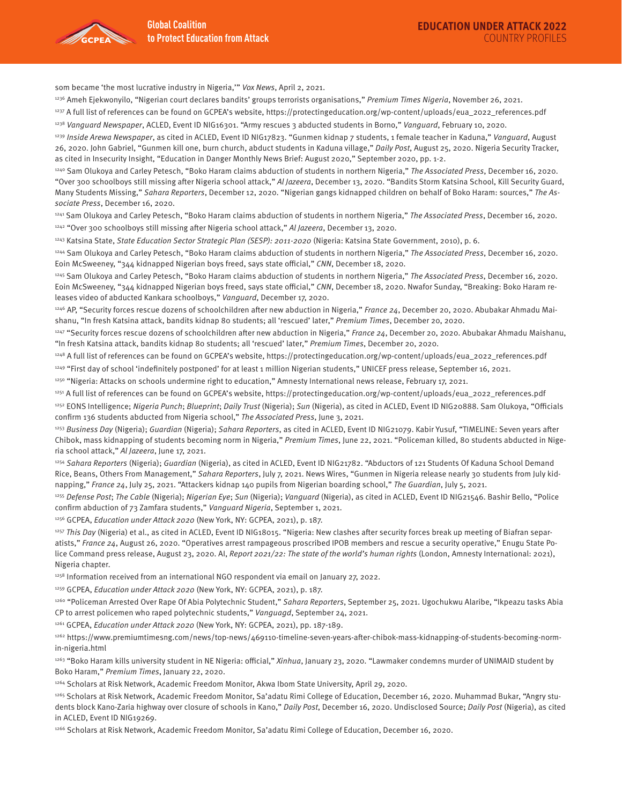

som became 'the most lucrative industry in Nigeria,'" Vox News, April 2, 2021.

<sup>1236</sup> Ameh Ejekwonyilo, "Nigerian court declares bandits' groups terrorists organisations," Premium Times Nigeria, November 26, 2021.

1237 A full list of references can be found on GCPEA's website, https://protectingeducation.org/wp-content/uploads/eua\_2022\_references.pdf

<sup>1238</sup> Vanguard Newspaper, ACLED, Event ID NIG16301. "Army rescues 3 abducted students in Borno," Vanguard, February 10, 2020.

<sup>1239</sup> Inside Arewa Newspaper, as cited in ACLED, Event ID NIG17823, "Gunmen kidnap 7 students, 1 female teacher in Kaduna," Vanguard, August 26, 2020. John Gabriel, "Gunmen kill one, burn church, abduct students in Kaduna village," Daily Post, August 25, 2020. Nigeria Security Tracker, as cited in Insecurity Insight, "Education in Danger Monthly News Brief: August 2020," September 2020, pp. 1-2.

<sup>1240</sup> Sam Olukoya and Carley Petesch, "Boko Haram claims abduction of students in northern Nigeria," The Associated Press, December 16, 2020. "Over 300 schoolboys still missing after Nigeria school attack," Al Jazeera, December 13, 2020. "Bandits Storm Katsina School, Kill Security Guard, Many Students Missing," Sahara Reporters, December 12, 2020. "Nigerian gangs kidnapped children on behalf of Boko Haram: sources," The Associate Press, December 16, 2020.

1241 Sam Olukoya and Carley Petesch, "Boko Haram claims abduction of students in northern Nigeria," The Associated Press, December 16, 2020. <sup>1242</sup> "Over 300 schoolboys still missing after Nigeria school attack," Al Jazeera, December 13, 2020.

<sup>1243</sup> Katsina State, State Education Sector Strategic Plan (SESP): 2011-2020 (Nigeria: Katsina State Government, 2010), p. 6.

1244 Sam Olukoya and Carley Petesch, "Boko Haram claims abduction of students in northern Nigeria," The Associated Press, December 16, 2020. Eoin McSweeney, "344 kidnapped Nigerian boys freed, says state official," CNN, December 18, 2020.

<sup>1245</sup> Sam Olukoya and Carley Petesch, "Boko Haram claims abduction of students in northern Nigeria," The Associated Press, December 16, 2020. Eoin McSweeney, "344 kidnapped Nigerian boys freed, says state official," CNN, December 18, 2020. Nwafor Sunday, "Breaking: Boko Haram releases video of abducted Kankara schoolboys," Vanguard, December 17, 2020.

 $1246$  AP, "Security forces rescue dozens of schoolchildren after new abduction in Nigeria," France 24, December 20, 2020. Abubakar Ahmadu Maishanu, "In fresh Katsina attack, bandits kidnap 80 students; all 'rescued' later," Premium Times, December 20, 2020.

 $1247$  "Security forces rescue dozens of schoolchildren after new abduction in Nigeria," France 24, December 20, 2020. Abubakar Ahmadu Maishanu, "In fresh Katsina attack, bandits kidnap 80 students; all 'rescued' later," Premium Times, December 20, 2020.

1248 A full list of references can be found on GCPEA's website, https://protectingeducation.org/wp-content/uploads/eua\_2022\_references.pdf

1249 "First day of school 'indefinitely postponed' for at least 1 million Nigerian students," UNICEF press release, September 16, 2021.

1250 "Nigeria: Attacks on schools undermine right to education," Amnesty International news release, February 17, 2021.

1251 A full list of references can be found on GCPEA's website, https://protectingeducation.org/wp-content/uploads/eua\_2022\_references.pdf

1252 EONS Intelligence; Nigeria Punch; Blueprint; Daily Trust (Nigeria); Sun (Nigeria), as cited in ACLED, Event ID NIG20888. Sam Olukoya, "Officials confirm 136 students abducted from Nigeria school," The Associated Press, June 3, 2021.

1253 Business Day (Nigeria); Guardian (Nigeria); Sahara Reporters, as cited in ACLED, Event ID NIG21079. Kabir Yusuf, "TIMELINE: Seven years after Chibok, mass kidnapping of students becoming norm in Nigeria," Premium Times, June 22, 2021. "Policeman killed, 80 students abducted in Nigeria school attack," Al Jazeera, June 17, 2021.

1254 Sahara Reporters (Nigeria); Guardian (Nigeria), as cited in ACLED, Event ID NIG21782. "Abductors of 121 Students Of Kaduna School Demand Rice, Beans, Others From Management," Sahara Reporters, July 7, 2021. News Wires, "Gunmen in Nigeria release nearly 30 students from July kidnapping," France 24, July 25, 2021. "Attackers kidnap 140 pupils from Nigerian boarding school," The Guardian, July 5, 2021.

<sup>1255</sup> Defense Post; The Cable (Nigeria); Nigerian Eye; Sun (Nigeria); Vanguard (Nigeria), as cited in ACLED, Event ID NIG21546. Bashir Bello, "Police confirm abduction of 73 Zamfara students," Vanguard Nigeria, September 1, 2021.

1256 GCPEA, Education under Attack 2020 (New York, NY: GCPEA, 2021), p. 187.

<sup>1257</sup> This Day (Nigeria) et al., as cited in ACLED, Event ID NIG18015. "Nigeria: New clashes after security forces break up meeting of Biafran separatists," France 24, August 26, 2020. "Operatives arrest rampageous proscribed IPOB members and rescue a security operative," Enugu State Police Command press release, August 23, 2020. Al, Report 2021/22: The state of the world's human rights (London, Amnesty International: 2021), Nigeria chapter.

1258 Information received from an international NGO respondent via email on January 27, 2022.

1259 GCPEA, Education under Attack 2020 (New York, NY: GCPEA, 2021), p. 187.

1260 "Policeman Arrested Over Rape Of Abia Polytechnic Student," Sahara Reporters, September 25, 2021. Ugochukwu Alaribe, "Ikpeazu tasks Abia CP to arrest policemen who raped polytechnic students," Vanguagd, September 24, 2021.

1261 GCPEA, Education under Attack 2020 (New York, NY: GCPEA, 2021), pp. 187-189.

1262 https://www.premiumtimesng.com/news/top-news/469110-timeline-seven-years-after-chibok-mass-kidnapping-of-students-becoming-normin-nigeria.html

<sup>1263</sup> "Boko Haram kills university student in NE Nigeria: official," Xinhua, January 23, 2020. "Lawmaker condemns murder of UNIMAID student by Boko Haram," Premium Times, January 22, 2020.

1264 Scholars at Risk Network, Academic Freedom Monitor, Akwa Ibom State University, April 29, 2020.

1265 Scholars at Risk Network, Academic Freedom Monitor, Sa'adatu Rimi College of Education, December 16, 2020. Muhammad Bukar, "Angry students block Kano-Zaria highway over closure of schools in Kano," Daily Post, December 16, 2020. Undisclosed Source; Daily Post (Nigeria), as cited in ACLED, Event ID NIG19269.

1266 Scholars at Risk Network, Academic Freedom Monitor, Sa'adatu Rimi College of Education, December 16, 2020.